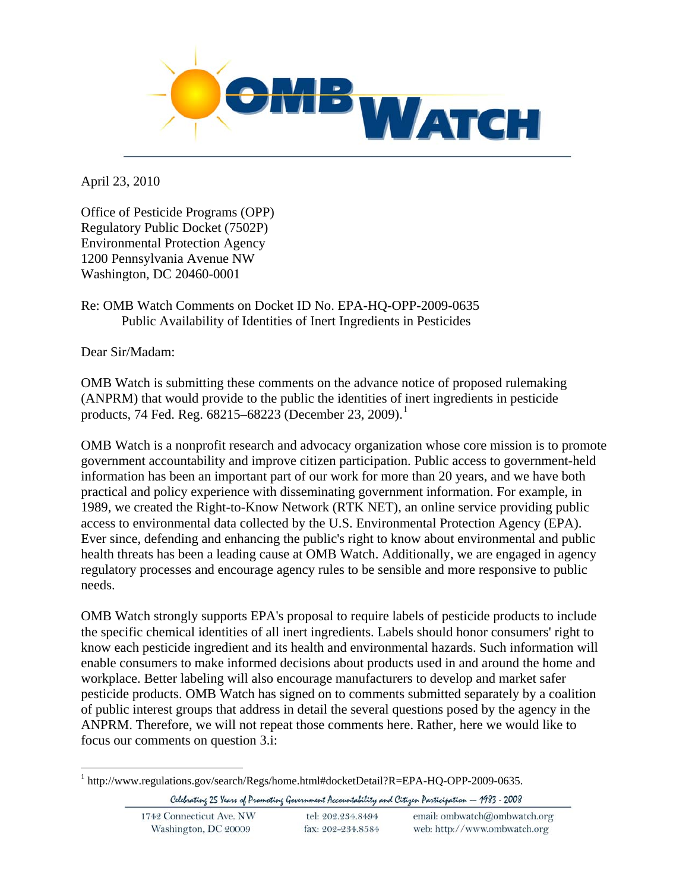

April 23, 2010

Office of Pesticide Programs (OPP) Regulatory Public Docket (7502P) Environmental Protection Agency 1200 Pennsylvania Avenue NW Washington, DC 20460-0001

## Re: OMB Watch Comments on Docket ID No. EPA-HQ-OPP-2009-0635 Public Availability of Identities of Inert Ingredients in Pesticides

Dear Sir/Madam:

OMB Watch is submitting these comments on the advance notice of proposed rulemaking (ANPRM) that would provide to the public the identities of inert ingredients in pesticide products, 74 Fed. Reg.  $68215 - 68223$  $68215 - 68223$  $68215 - 68223$  (December 23, 2009).<sup>1</sup>

OMB Watch is a nonprofit research and advocacy organization whose core mission is to promote government accountability and improve citizen participation. Public access to government-held information has been an important part of our work for more than 20 years, and we have both practical and policy experience with disseminating government information. For example, in 1989, we created the Right-to-Know Network (RTK NET), an online service providing public access to environmental data collected by the U.S. Environmental Protection Agency (EPA). Ever since, defending and enhancing the public's right to know about environmental and public health threats has been a leading cause at OMB Watch. Additionally, we are engaged in agency regulatory processes and encourage agency rules to be sensible and more responsive to public needs.

OMB Watch strongly supports EPA's proposal to require labels of pesticide products to include the specific chemical identities of all inert ingredients. Labels should honor consumers' right to know each pesticide ingredient and its health and environmental hazards. Such information will enable consumers to make informed decisions about products used in and around the home and workplace. Better labeling will also encourage manufacturers to develop and market safer pesticide products. OMB Watch has signed on to comments submitted separately by a coalition of public interest groups that address in detail the several questions posed by the agency in the ANPRM. Therefore, we will not repeat those comments here. Rather, here we would like to focus our comments on question 3.i:

<span id="page-0-0"></span><sup>&</sup>lt;u>.</u> <sup>1</sup> http://www.regulations.gov/search/Regs/home.html#docketDetail?R=EPA-HQ-OPP-2009-0635.

Celebrating 25 Years of Promoting Government Accountability and Citizen Participation - 1983 - 2008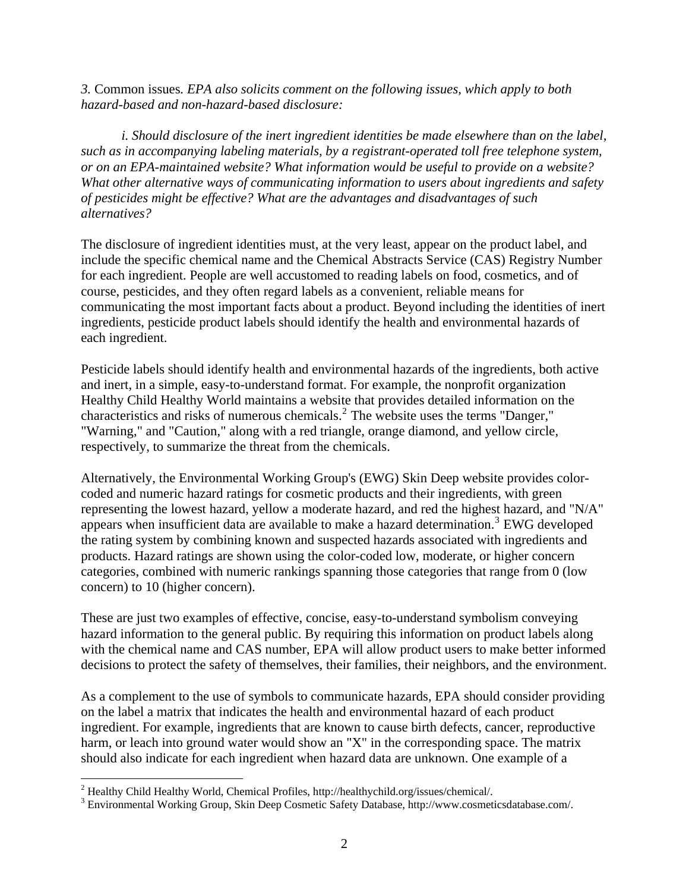*3.* Common issues*. EPA also solicits comment on the following issues, which apply to both hazard-based and non-hazard-based disclosure:* 

*i. Should disclosure of the inert ingredient identities be made elsewhere than on the label, such as in accompanying labeling materials, by a registrant-operated toll free telephone system, or on an EPA-maintained website? What information would be useful to provide on a website? What other alternative ways of communicating information to users about ingredients and safety of pesticides might be effective? What are the advantages and disadvantages of such alternatives?* 

The disclosure of ingredient identities must, at the very least, appear on the product label, and include the specific chemical name and the Chemical Abstracts Service (CAS) Registry Number for each ingredient. People are well accustomed to reading labels on food, cosmetics, and of course, pesticides, and they often regard labels as a convenient, reliable means for communicating the most important facts about a product. Beyond including the identities of inert ingredients, pesticide product labels should identify the health and environmental hazards of each ingredient.

Pesticide labels should identify health and environmental hazards of the ingredients, both active and inert, in a simple, easy-to-understand format. For example, the nonprofit organization Healthy Child Healthy World maintains a website that provides detailed information on the characteristics and risks of numerous chemicals.[2](#page-1-0) The website uses the terms "Danger," "Warning," and "Caution," along with a red triangle, orange diamond, and yellow circle, respectively, to summarize the threat from the chemicals.

Alternatively, the Environmental Working Group's (EWG) Skin Deep website provides colorcoded and numeric hazard ratings for cosmetic products and their ingredients, with green representing the lowest hazard, yellow a moderate hazard, and red the highest hazard, and "N/A" appears when insufficient data are available to make a hazard determination.<sup>[3](#page-1-1)</sup> EWG developed the rating system by combining known and suspected hazards associated with ingredients and products. Hazard ratings are shown using the color-coded low, moderate, or higher concern categories, combined with numeric rankings spanning those categories that range from 0 (low concern) to 10 (higher concern).

These are just two examples of effective, concise, easy-to-understand symbolism conveying hazard information to the general public. By requiring this information on product labels along with the chemical name and CAS number, EPA will allow product users to make better informed decisions to protect the safety of themselves, their families, their neighbors, and the environment.

As a complement to the use of symbols to communicate hazards, EPA should consider providing on the label a matrix that indicates the health and environmental hazard of each product ingredient. For example, ingredients that are known to cause birth defects, cancer, reproductive harm, or leach into ground water would show an "X" in the corresponding space. The matrix should also indicate for each ingredient when hazard data are unknown. One example of a

 $\overline{a}$ 

<span id="page-1-0"></span><sup>&</sup>lt;sup>2</sup> Healthy Child Healthy World, Chemical Profiles, http://healthychild.org/issues/chemical/.<br><sup>3</sup> Environmental Working Group, Skip Deep Cognetic Sofety Detabage, http://www.cognetic

<span id="page-1-1"></span>Environmental Working Group, Skin Deep Cosmetic Safety Database, http://www.cosmeticsdatabase.com/.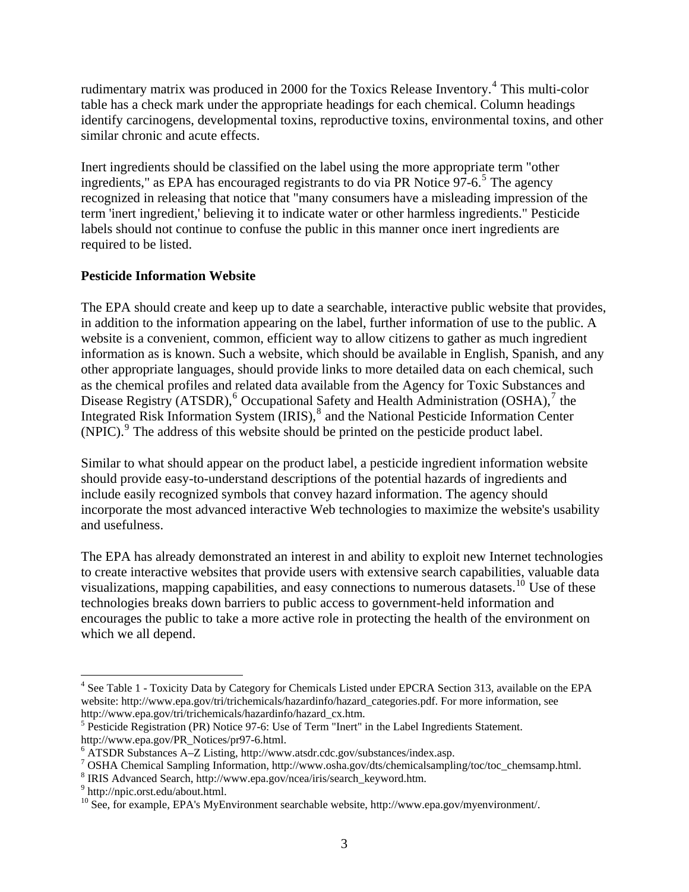rudimentary matrix was produced in 2000 for the Toxics Release Inventory.<sup>[4](#page-2-0)</sup> This multi-color table has a check mark under the appropriate headings for each chemical. Column headings identify carcinogens, developmental toxins, reproductive toxins, environmental toxins, and other similar chronic and acute effects.

Inert ingredients should be classified on the label using the more appropriate term "other ingredients," as EPA has encouraged registrants to do via PR Notice  $97-6.5$  $97-6.5$  The agency recognized in releasing that notice that "many consumers have a misleading impression of the term 'inert ingredient,' believing it to indicate water or other harmless ingredients." Pesticide labels should not continue to confuse the public in this manner once inert ingredients are required to be listed.

## **Pesticide Information Website**

The EPA should create and keep up to date a searchable, interactive public website that provides, in addition to the information appearing on the label, further information of use to the public. A website is a convenient, common, efficient way to allow citizens to gather as much ingredient information as is known. Such a website, which should be available in English, Spanish, and any other appropriate languages, should provide links to more detailed data on each chemical, such as the chemical profiles and related data available from the Agency for Toxic Substances and Disease Registry (ATSDR), $^6$  $^6$  Occupational Safety and Health Administration (OSHA), $^7$  $^7$  the Integrated Risk Information System (IRIS),<sup>[8](#page-2-4)</sup> and the National Pesticide Information Center (NPIC).<sup>[9](#page-2-5)</sup> The address of this website should be printed on the pesticide product label.

Similar to what should appear on the product label, a pesticide ingredient information website should provide easy-to-understand descriptions of the potential hazards of ingredients and include easily recognized symbols that convey hazard information. The agency should incorporate the most advanced interactive Web technologies to maximize the website's usability and usefulness.

The EPA has already demonstrated an interest in and ability to exploit new Internet technologies to create interactive websites that provide users with extensive search capabilities, valuable data visualizations, mapping capabilities, and easy connections to numerous datasets.<sup>[10](#page-2-6)</sup> Use of these technologies breaks down barriers to public access to government-held information and encourages the public to take a more active role in protecting the health of the environment on which we all depend.

1

<span id="page-2-0"></span><sup>&</sup>lt;sup>4</sup> See Table 1 - Toxicity Data by Category for Chemicals Listed under EPCRA Section 313, available on the EPA website: http://www.epa.gov/tri/trichemicals/hazardinfo/hazard\_categories.pdf. For more information, see http://www.epa.gov/tri/trichemicals/hazardinfo/hazard\_cx.htm. 5

<span id="page-2-1"></span> $<sup>5</sup>$  Pesticide Registration (PR) Notice 97-6: Use of Term "Inert" in the Label Ingredients Statement.</sup>

http://www.epa.gov/PR\_Notices/pr97-6.html.

<span id="page-2-2"></span><sup>6</sup> ATSDR Substances A–Z Listing, http://www.atsdr.cdc.gov/substances/index.asp.

<span id="page-2-3"></span><sup>7</sup> OSHA Chemical Sampling Information, http://www.osha.gov/dts/chemicalsampling/toc/toc\_chemsamp.html.

<span id="page-2-4"></span> $\frac{8}{9}$  IRIS Advanced Search, http://www.epa.gov/ncea/iris/search\_keyword.htm.

<span id="page-2-5"></span>http://npic.orst.edu/about.html.

<span id="page-2-6"></span><sup>&</sup>lt;sup>10</sup> See, for example, EPA's MyEnvironment searchable website, http://www.epa.gov/myenvironment/.